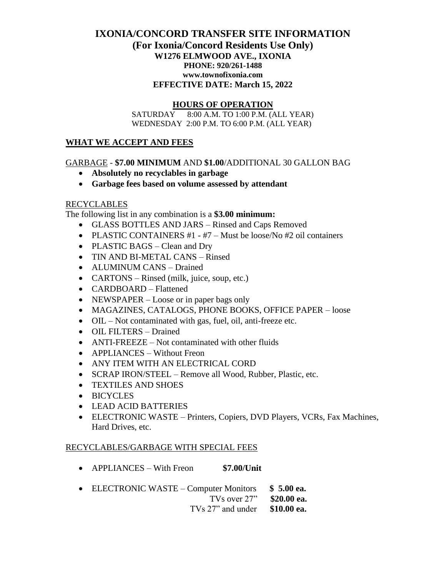## **IXONIA/CONCORD TRANSFER SITE INFORMATION (For Ixonia/Concord Residents Use Only) W1276 ELMWOOD AVE., IXONIA PHONE: 920/261-1488 www.townofixonia.com EFFECTIVE DATE: March 15, 2022**

### **HOURS OF OPERATION**

 SATURDAY 8:00 A.M. TO 1:00 P.M. (ALL YEAR) WEDNESDAY 2:00 P.M. TO 6:00 P.M. (ALL YEAR)

#### **WHAT WE ACCEPT AND FEES**

#### GARBAGE - **\$7.00 MINIMUM** AND **\$1.00**/ADDITIONAL 30 GALLON BAG

- **Absolutely no recyclables in garbage**
- **Garbage fees based on volume assessed by attendant**

#### RECYCLABLES

The following list in any combination is a **\$3.00 minimum:**

- GLASS BOTTLES AND JARS Rinsed and Caps Removed
- PLASTIC CONTAINERS #1 #7 Must be loose/No #2 oil containers
- PLASTIC BAGS Clean and Dry
- TIN AND BI-METAL CANS Rinsed
- ALUMINUM CANS Drained
- CARTONS Rinsed (milk, juice, soup, etc.)
- CARDBOARD Flattened
- NEWSPAPER Loose or in paper bags only
- MAGAZINES, CATALOGS, PHONE BOOKS, OFFICE PAPER loose
- OIL Not contaminated with gas, fuel, oil, anti-freeze etc.
- OIL FILTERS Drained
- ANTI-FREEZE Not contaminated with other fluids
- APPLIANCES Without Freon
- ANY ITEM WITH AN ELECTRICAL CORD
- SCRAP IRON/STEEL Remove all Wood, Rubber, Plastic, etc.
- TEXTILES AND SHOES
- BICYCLES
- LEAD ACID BATTERIES
- ELECTRONIC WASTE Printers, Copiers, DVD Players, VCRs, Fax Machines, Hard Drives, etc.

#### RECYCLABLES/GARBAGE WITH SPECIAL FEES

- APPLIANCES With Freon **\$7.00/Unit**
- ELECTRONIC WASTE Computer Monitors **\$ 5.00 ea.** TVs over 27" **\$20.00 ea.** TVs 27" and under **\$10.00 ea.**